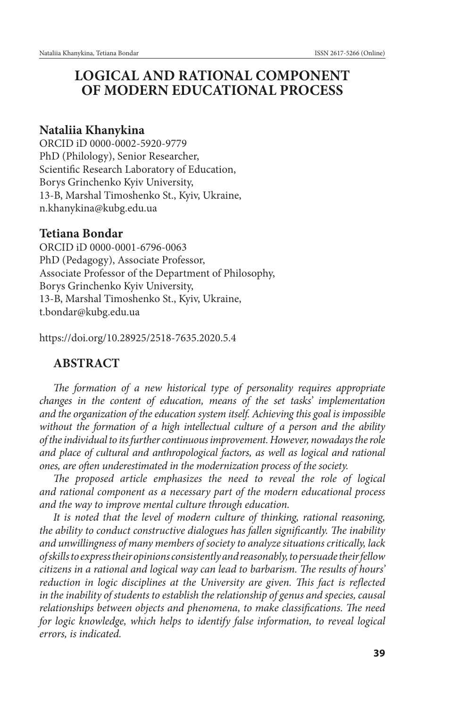# **LOGICAL AND RATIONAL COMPONENT OF MODERN EDUCATIONAL PROCESS**

## **Nataliia Khanykina**

ORCID iD 0000-0002-5920-9779 PhD (Philology), Senior Researcher, Scientific Research Laboratory of Education, Borys Grinchenko Kyiv University, 13-B, Marshal Timoshenko St., Kyiv, Ukraine, n.khanykina@kubg.edu.ua

## **Tetiana Bondar**

ORCІD іD 0000-0001-6796-0063 PhD (Pedagogy), Associate Professor, Associate Professor of the Department of Philosophy, Borys Grinchenko Kyiv University, 13-B, Marshal Timoshenko St., Kyiv, Ukraine, t.bondar@kubg.edu.ua

https://doi.org/10.28925/2518-7635.2020.5.4

## **ABSTRACT**

*The formation of a new historical type of personality requires appropriate changes in the content of education, means of the set tasks' implementation and the organization of the education system itself. Achieving this goal is impossible without the formation of a high intellectual culture of a person and the ability of the individual to its further continuous improvement. However, nowadays the role*  and place of cultural and anthropological factors, as well as logical and rational *ones, are often underestimated in the modernization process of the society.*

The proposed article emphasizes the need to reveal the role of logical *and rational component as a necessary part of the modern educational process and the way to improve mental culture through education.*

*It is noted that the level of modern culture of thinking, rational reasoning, the ability to conduct constructive dialogues has fallen significantly. The inability and unwillingness of many members of society to analyze situations critically, lack of skills to express their opinions consistently and reasonably, to persuade their fellow citizens in a rational and logical way can lead to barbarism. The results of hours' reduction in logic disciplines at the University are given. This fact is reflected in the inability of students to establish the relationship of genus and species, causal relationships between objects and phenomena, to make classifications. The need for logic knowledge, which helps to identify false information, to reveal logical errors, is indicated.*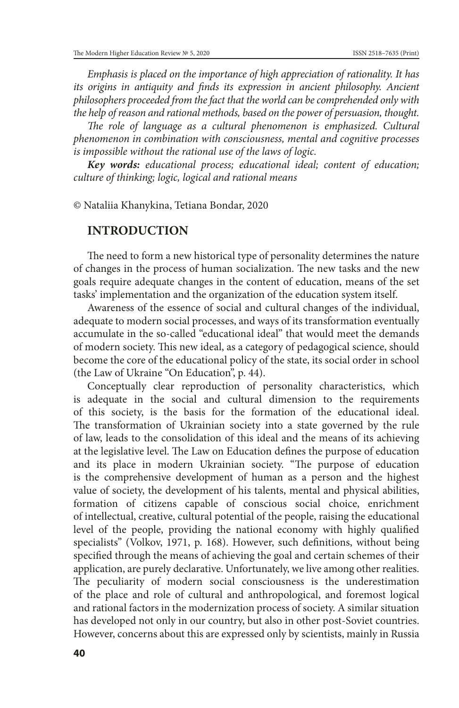*Emphasis is placed on the importance of high appreciation of rationality. It has*  its origins in antiquity and finds its expression in ancient philosophy. Ancient *philosophers proceeded from the fact that the world can be comprehended only with the help of reason and rational methods, based on the power of persuasion, thought.* 

The role of language as a cultural phenomenon is emphasized. Cultural *phenomenon in combination with consciousness, mental and cognitive processes is impossible without the rational use of the laws of logic.*

*Key words: educational process; educational ideal; content of education; culture of thinking; logic, logical and rational means*

© Nataliia Khanykina, Tetiana Bondar, 2020

### **INTRODUCTION**

The need to form a new historical type of personality determines the nature of changes in the process of human socialization. The new tasks and the new goals require adequate changes in the content of education, means of the set tasks' implementation and the organization of the education system itself.

Awareness of the essence of social and cultural changes of the individual, adequate to modern social processes, and ways of its transformation eventually accumulate in the so-called "educational ideal" that would meet the demands of modern society. This new ideal, as a category of pedagogical science, should become the core of the educational policy of the state, its social order in school (the Law of Ukraine "On Education", p. 44).

Conceptually clear reproduction of personality characteristics, which is adequate in the social and cultural dimension to the requirements of this society, is the basis for the formation of the educational ideal. The transformation of Ukrainian society into a state governed by the rule of law, leads to the consolidation of this ideal and the means of its achieving at the legislative level. The Law on Education defines the purpose of education and its place in modern Ukrainian society. "The purpose of education is the comprehensive development of human as a person and the highest value of society, the development of his talents, mental and physical abilities, formation of citizens capable of conscious social choice, enrichment of intellectual, creative, cultural potential of the people, raising the educational level of the people, providing the national economy with highly qualified specialists" (Volkov, 1971, p. 168). However, such definitions, without being specified through the means of achieving the goal and certain schemes of their application, are purely declarative. Unfortunately, we live among other realities. The peculiarity of modern social consciousness is the underestimation of the place and role of cultural and anthropological, and foremost logical and rational factors in the modernization process of society. A similar situation has developed not only in our country, but also in other post-Soviet countries. However, concerns about this are expressed only by scientists, mainly in Russia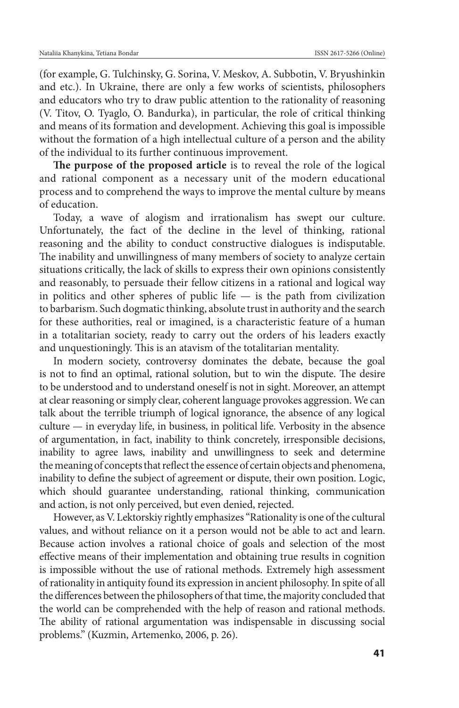(for example, G. Tulchinsky, G. Sorina, V. Meskov, A. Subbotin, V. Bryushinkin and etc.). In Ukraine, there are only a few works of scientists, philosophers and educators who try to draw public attention to the rationality of reasoning (V. Titov, O. Tyaglo, O. Bandurka), in particular, the role of critical thinking and means of its formation and development. Achieving this goal is impossible without the formation of a high intellectual culture of a person and the ability of the individual to its further continuous improvement.

**The purpose of the proposed article** is to reveal the role of the logical and rational component as a necessary unit of the modern educational process and to comprehend the ways to improve the mental culture by means of education.

Today, a wave of alogism and irrationalism has swept our culture. Unfortunately, the fact of the decline in the level of thinking, rational reasoning and the ability to conduct constructive dialogues is indisputable. The inability and unwillingness of many members of society to analyze certain situations critically, the lack of skills to express their own opinions consistently and reasonably, to persuade their fellow citizens in a rational and logical way in politics and other spheres of public life  $-$  is the path from civilization to barbarism. Such dogmatic thinking, absolute trust in authority and the search for these authorities, real or imagined, is a characteristic feature of a human in a totalitarian society, ready to carry out the orders of his leaders exactly and unquestioningly. This is an atavism of the totalitarian mentality.

In modern society, controversy dominates the debate, because the goal is not to find an optimal, rational solution, but to win the dispute. The desire to be understood and to understand oneself is not in sight. Moreover, an attempt at clear reasoning or simply clear, coherent language provokes aggression. We can talk about the terrible triumph of logical ignorance, the absence of any logical culture — in everyday life, in business, in political life. Verbosity in the absence of argumentation, in fact, inability to think concretely, irresponsible decisions, inability to agree laws, inability and unwillingness to seek and determine the meaning of concepts that reflect the essence of certain objects and phenomena, inability to define the subject of agreement or dispute, their own position. Logic, which should guarantee understanding, rational thinking, communication and action, is not only perceived, but even denied, rejected.

However, as V. Lektorskiy rightly emphasizes "Rationality is one of the cultural values, and without reliance on it a person would not be able to act and learn. Because action involves a rational choice of goals and selection of the most effective means of their implementation and obtaining true results in cognition is impossible without the use of rational methods. Extremely high assessment of rationality in antiquity found its expression in ancient philosophy. In spite of all the differences between the philosophers of that time, the majority concluded that the world can be comprehended with the help of reason and rational methods. The ability of rational argumentation was indispensable in discussing social problems." (Kuzmin, Artemenko, 2006, p. 26).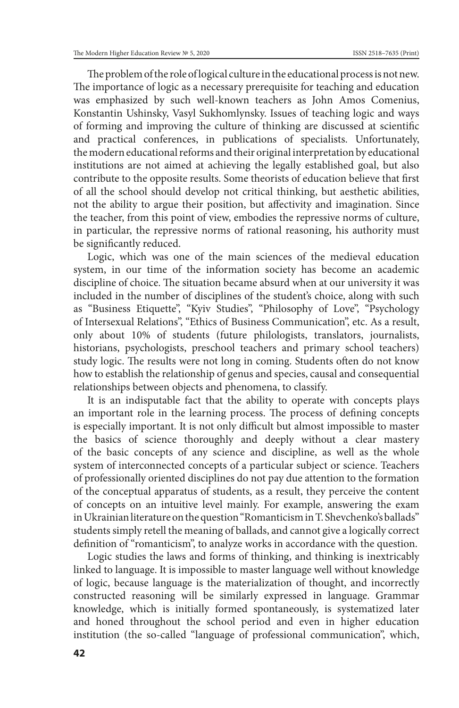The problem of the role of logical culture in the educational process is not new. The importance of logic as a necessary prerequisite for teaching and education was emphasized by such well-known teachers as John Amos Comenius, Konstantin Ushinsky, Vasyl Sukhomlynsky. Issues of teaching logic and ways of forming and improving the culture of thinking are discussed at scientific and practical conferences, in publications of specialists. Unfortunately, the modern educational reforms and their original interpretation by educational institutions are not aimed at achieving the legally established goal, but also contribute to the opposite results. Some theorists of education believe that first of all the school should develop not critical thinking, but aesthetic abilities, not the ability to argue their position, but affectivity and imagination. Since the teacher, from this point of view, embodies the repressive norms of culture, in particular, the repressive norms of rational reasoning, his authority must be significantly reduced.

Logic, which was one of the main sciences of the medieval education system, in our time of the information society has become an academic discipline of choice. The situation became absurd when at our university it was included in the number of disciplines of the student's choice, along with such as "Business Etiquette", "Kyiv Studies", "Philosophy of Love", "Psychology of Intersexual Relations", "Ethics of Business Communication", etc. As a result, only about 10% of students (future philologists, translators, journalists, historians, psychologists, preschool teachers and primary school teachers) study logic. The results were not long in coming. Students often do not know how to establish the relationship of genus and species, causal and consequential relationships between objects and phenomena, to classify.

It is an indisputable fact that the ability to operate with concepts plays an important role in the learning process. The process of defining concepts is especially important. It is not only difficult but almost impossible to master the basics of science thoroughly and deeply without a clear mastery of the basic concepts of any science and discipline, as well as the whole system of interconnected concepts of a particular subject or science. Teachers of professionally oriented disciplines do not pay due attention to the formation of the conceptual apparatus of students, as a result, they perceive the content of concepts on an intuitive level mainly. For example, answering the exam in Ukrainian literature on the question "Romanticism in T. Shevchenko's ballads" students simply retell the meaning of ballads, and cannot give a logically correct definition of "romanticism", to analyze works in accordance with the question.

Logic studies the laws and forms of thinking, and thinking is inextricably linked to language. It is impossible to master language well without knowledge of logic, because language is the materialization of thought, and incorrectly constructed reasoning will be similarly expressed in language. Grammar knowledge, which is initially formed spontaneously, is systematized later and honed throughout the school period and even in higher education institution (the so-called "language of professional communication", which,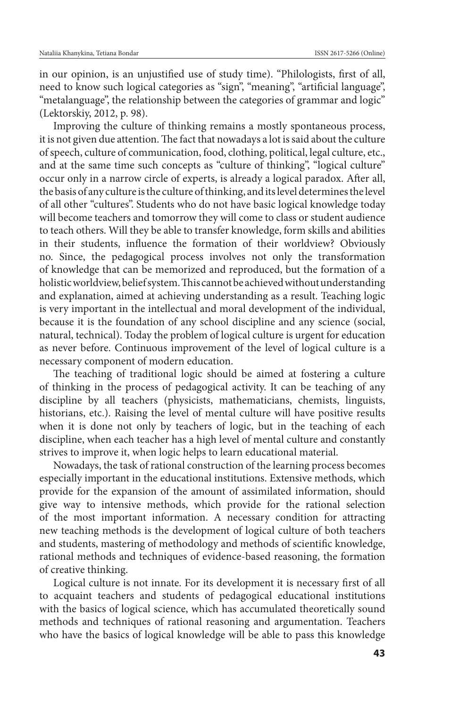in our opinion, is an unjustified use of study time). "Philologists, first of all, need to know such logical categories as "sign", "meaning", "artificial language", "metalanguage", the relationship between the categories of grammar and logic" (Lektorskiy, 2012, p. 98).

Improving the culture of thinking remains a mostly spontaneous process, it is not given due attention. The fact that nowadays a lot is said about the culture of speech, culture of communication, food, clothing, political, legal culture, etc., and at the same time such concepts as "culture of thinking", "logical culture" occur only in a narrow circle of experts, is already a logical paradox. After all, the basis of any culture is the culture of thinking, and its level determines the level of all other "cultures". Students who do not have basic logical knowledge today will become teachers and tomorrow they will come to class or student audience to teach others. Will they be able to transfer knowledge, form skills and abilities in their students, influence the formation of their worldview? Obviously no. Since, the pedagogical process involves not only the transformation of knowledge that can be memorized and reproduced, but the formation of a holistic worldview, belief system. This cannot be achieved without understanding and explanation, aimed at achieving understanding as a result. Teaching logic is very important in the intellectual and moral development of the individual, because it is the foundation of any school discipline and any science (social, natural, technical). Today the problem of logical culture is urgent for education as never before. Continuous improvement of the level of logical culture is a necessary component of modern education.

The teaching of traditional logic should be aimed at fostering a culture of thinking in the process of pedagogical activity. It can be teaching of any discipline by all teachers (physicists, mathematicians, chemists, linguists, historians, etc.). Raising the level of mental culture will have positive results when it is done not only by teachers of logic, but in the teaching of each discipline, when each teacher has a high level of mental culture and constantly strives to improve it, when logic helps to learn educational material.

Nowadays, the task of rational construction of the learning process becomes especially important in the educational institutions. Extensive methods, which provide for the expansion of the amount of assimilated information, should give way to intensive methods, which provide for the rational selection of the most important information. A necessary condition for attracting new teaching methods is the development of logical culture of both teachers and students, mastering of methodology and methods of scientific knowledge, rational methods and techniques of evidence-based reasoning, the formation of creative thinking.

Logical culture is not innate. For its development it is necessary first of all to acquaint teachers and students of pedagogical educational institutions with the basics of logical science, which has accumulated theoretically sound methods and techniques of rational reasoning and argumentation. Teachers who have the basics of logical knowledge will be able to pass this knowledge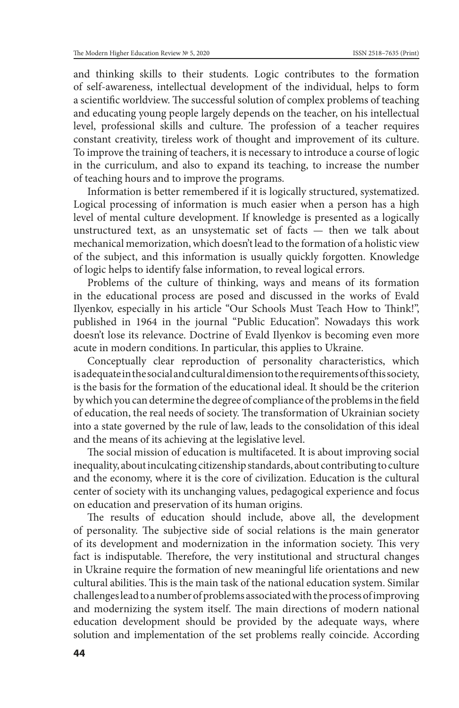and thinking skills to their students. Logic contributes to the formation of self-awareness, intellectual development of the individual, helps to form a scientific worldview. The successful solution of complex problems of teaching and educating young people largely depends on the teacher, on his intellectual level, professional skills and culture. The profession of a teacher requires constant creativity, tireless work of thought and improvement of its culture. To improve the training of teachers, it is necessary to introduce a course of logic in the curriculum, and also to expand its teaching, to increase the number of teaching hours and to improve the programs.

Information is better remembered if it is logically structured, systematized. Logical processing of information is much easier when a person has a high level of mental culture development. If knowledge is presented as a logically unstructured text, as an unsystematic set of facts — then we talk about mechanical memorization, which doesn't lead to the formation of a holistic view of the subject, and this information is usually quickly forgotten. Knowledge of logic helps to identify false information, to reveal logical errors.

Problems of the culture of thinking, ways and means of its formation in the educational process are posed and discussed in the works of Evald Ilyenkov, especially in his article "Our Schools Must Teach How to Think!", published in 1964 in the journal "Public Education". Nowadays this work doesn't lose its relevance. Doctrine of Evald Ilyenkov is becoming even more acute in modern conditions. In particular, this applies to Ukraine.

Conceptually clear reproduction of personality characteristics, which is adequate in the social and cultural dimension to the requirements of this society, is the basis for the formation of the educational ideal. It should be the criterion by which you can determine the degree of compliance of the problems in the field of education, the real needs of society. The transformation of Ukrainian society into a state governed by the rule of law, leads to the consolidation of this ideal and the means of its achieving at the legislative level.

The social mission of education is multifaceted. It is about improving social inequality, about inculcating citizenship standards, about contributing to culture and the economy, where it is the core of civilization. Education is the cultural center of society with its unchanging values, pedagogical experience and focus on education and preservation of its human origins.

The results of education should include, above all, the development of personality. The subjective side of social relations is the main generator of its development and modernization in the information society. This very fact is indisputable. Therefore, the very institutional and structural changes in Ukraine require the formation of new meaningful life orientations and new cultural abilities. This is the main task of the national education system. Similar challenges lead to a number of problems associated with the process of improving and modernizing the system itself. The main directions of modern national education development should be provided by the adequate ways, where solution and implementation of the set problems really coincide. According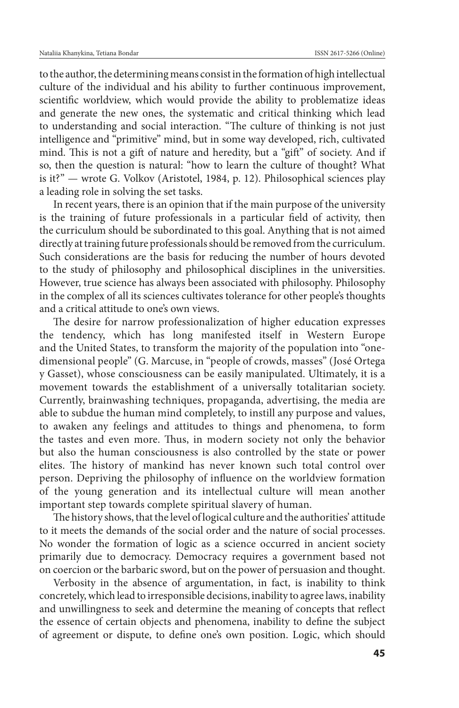to the author, the determining means consist in the formation of high intellectual culture of the individual and his ability to further continuous improvement, scientific worldview, which would provide the ability to problematize ideas and generate the new ones, the systematic and critical thinking which lead to understanding and social interaction. "The culture of thinking is not just intelligence and "primitive" mind, but in some way developed, rich, cultivated mind. This is not a gift of nature and heredity, but a "gift" of society. And if so, then the question is natural: "how to learn the culture of thought? What is it?" — wrote G. Volkov (Aristotel, 1984, p. 12). Philosophical sciences play a leading role in solving the set tasks.

In recent years, there is an opinion that if the main purpose of the university is the training of future professionals in a particular field of activity, then the curriculum should be subordinated to this goal. Anything that is not aimed directly at training future professionals should be removed from the curriculum. Such considerations are the basis for reducing the number of hours devoted to the study of philosophy and philosophical disciplines in the universities. However, true science has always been associated with philosophy. Philosophy in the complex of all its sciences cultivates tolerance for other people's thoughts and a critical attitude to one's own views.

The desire for narrow professionalization of higher education expresses the tendency, which has long manifested itself in Western Europe and the United States, to transform the majority of the population into "onedimensional people" (G. Marcuse, in "people of crowds, masses" (José Ortega y Gasset), whose consciousness can be easily manipulated. Ultimately, it is a movement towards the establishment of a universally totalitarian society. Currently, brainwashing techniques, propaganda, advertising, the media are able to subdue the human mind completely, to instill any purpose and values, to awaken any feelings and attitudes to things and phenomena, to form the tastes and even more. Thus, in modern society not only the behavior but also the human consciousness is also controlled by the state or power elites. The history of mankind has never known such total control over person. Depriving the philosophy of influence on the worldview formation of the young generation and its intellectual culture will mean another important step towards complete spiritual slavery of human.

The history shows, that the level of logical culture and the authorities' attitude to it meets the demands of the social order and the nature of social processes. No wonder the formation of logic as a science occurred in ancient society primarily due to democracy. Democracy requires a government based not on coercion or the barbaric sword, but on the power of persuasion and thought.

Verbosity in the absence of argumentation, in fact, is inability to think concretely, which lead to irresponsible decisions, inability to agree laws, inability and unwillingness to seek and determine the meaning of concepts that reflect the essence of certain objects and phenomena, inability to define the subject of agreement or dispute, to define one's own position. Logic, which should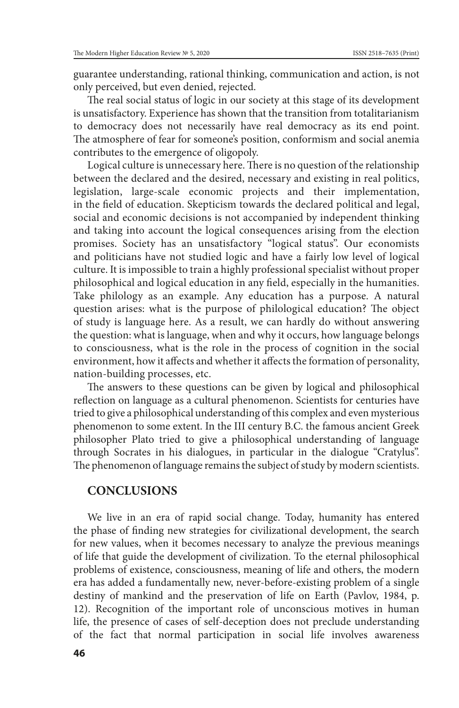guarantee understanding, rational thinking, communication and action, is not only perceived, but even denied, rejected.

The real social status of logic in our society at this stage of its development is unsatisfactory. Experience has shown that the transition from totalitarianism to democracy does not necessarily have real democracy as its end point. The atmosphere of fear for someone's position, conformism and social anemia contributes to the emergence of oligopoly.

Logical culture is unnecessary here. There is no question of the relationship between the declared and the desired, necessary and existing in real politics, legislation, large-scale economic projects and their implementation, in the field of education. Skepticism towards the declared political and legal, social and economic decisions is not accompanied by independent thinking and taking into account the logical consequences arising from the election promises. Society has an unsatisfactory "logical status". Our economists and politicians have not studied logic and have a fairly low level of logical culture. It is impossible to train a highly professional specialist without proper philosophical and logical education in any field, especially in the humanities. Take philology as an example. Any education has a purpose. A natural question arises: what is the purpose of philological education? The object of study is language here. As a result, we can hardly do without answering the question: what is language, when and why it occurs, how language belongs to consciousness, what is the role in the process of cognition in the social environment, how it affects and whether it affects the formation of personality, nation-building processes, etc.

The answers to these questions can be given by logical and philosophical reflection on language as a cultural phenomenon. Scientists for centuries have tried to give a philosophical understanding of this complex and even mysterious phenomenon to some extent. In the III century B.C. the famous ancient Greek philosopher Plato tried to give a philosophical understanding of language through Socrates in his dialogues, in particular in the dialogue "Cratylus". The phenomenon of language remains the subject of study by modern scientists.

## **CONCLUSIONS**

We live in an era of rapid social change. Today, humanity has entered the phase of finding new strategies for civilizational development, the search for new values, when it becomes necessary to analyze the previous meanings of life that guide the development of civilization. To the eternal philosophical problems of existence, consciousness, meaning of life and others, the modern era has added a fundamentally new, never-before-existing problem of a single destiny of mankind and the preservation of life on Earth (Pavlov, 1984, p. 12). Recognition of the important role of unconscious motives in human life, the presence of cases of self-deception does not preclude understanding of the fact that normal participation in social life involves awareness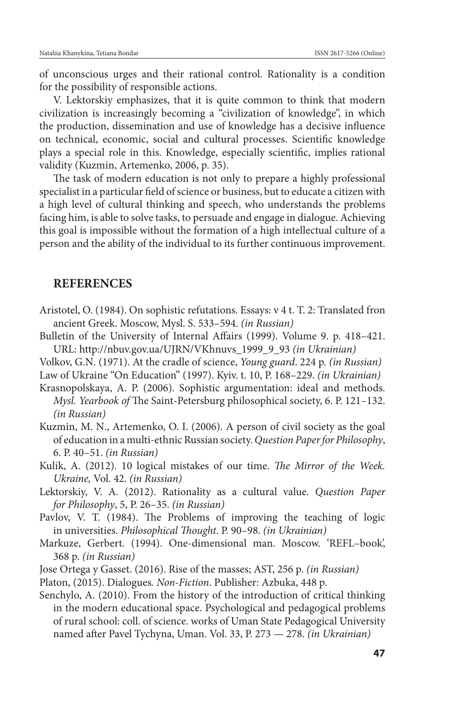of unconscious urges and their rational control. Rationality is a condition for the possibility of responsible actions.

V. Lektorskiy emphasizes, that it is quite common to think that modern civilization is increasingly becoming a "civilization of knowledge", in which the production, dissemination and use of knowledge has a decisive influence on technical, economic, social and cultural processes. Scientific knowledge plays a special role in this. Knowledge, especially scientific, implies rational validity (Kuzmin, Artemenko, 2006, p. 35).

The task of modern education is not only to prepare a highly professional specialist in a particular field of science or business, but to educate a citizen with a high level of cultural thinking and speech, who understands the problems facing him, is able to solve tasks, to persuade and engage in dialogue. Achieving this goal is impossible without the formation of a high intellectual culture of a person and the ability of the individual to its further continuous improvement.

#### **REFERENCES**

- Aristotel, O. (1984). On sophistic refutations. Essays: v 4 t. T. 2: Translated fron ancient Greek. Moscow, Mysl. S. 533–594. *(in Russian)*
- Bulletin of the University of Internal Affairs (1999). Volume 9. p. 418–421. URL: http://nbuv.gov.ua/UJRN/VKhnuvs\_1999\_9\_93 *(in Ukrainian)*
- Volkov, G.N. (1971). At the cradle of science, *Young guard*. 224 p. *(in Russian)*
- Law of Ukraine "On Education" (1997). Kyiv. t. 10, P. 168–229. *(in Ukrainian)*
- Krasnopolskaya, A. P. (2006). Sophistic argumentation: ideal and methods. *Mysl. Yearbook of* The Saint-Petersburg philosophical society, 6. P. 121–132. *(in Russian)*
- Kuzmin, M. N., Artemenko, O. I. (2006). A person of civil society as the goal of education in a multi-ethnic Russian society. *Question Paper for Philosophy*, 6. P. 40–51. *(in Russian)*
- Kulik, A. (2012). 10 logical mistakes of our time. *The Mirror of the Week. Ukraine,* Vol. 42. *(in Russian)*
- Lektorskiy, V. A. (2012). Rationality as a cultural value. *Question Paper for Philosophy*, 5, P. 26–35. *(in Russian)*
- Pavlov, V. T. (1984). The Problems of improving the teaching of logic in universities. *Philosophical Thought*. P. 90–98. *(in Ukrainian)*
- Markuze, Gerbert. (1994). One-dimensional man. Moscow. 'REFL–book', 368 p. *(in Russian)*
- Jose Ortega y Gasset. (2016). Rise of the masses; AST, 256 p. *(in Russian)*
- Platon, (2015). Dialogues*. Non-Fiction*. Publisher: Azbuka, 448 p.
- Senchylo, A. (2010). From the history of the introduction of critical thinking in the modern educational space. Psychological and pedagogical problems of rural school: coll. of science. works of Uman State Pedagogical University named after Pavel Tychyna, Uman. Vol. 33, P. 273 — 278. *(in Ukrainian)*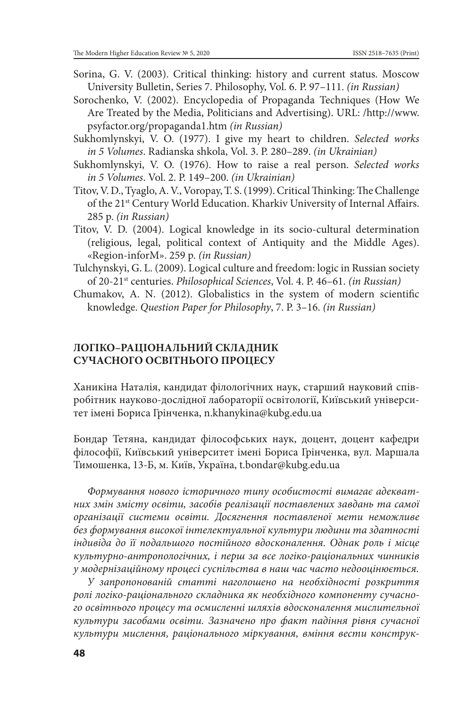- Sorina, G. V. (2003). Critical thinking: history and current status. Moscow University Bulletin, Series 7. Philosophy, Vol. 6. P. 97–111. *(in Russian)*
- Sorochenko, V. (2002). Encyclopedia of Propaganda Techniques (How We Are Treated by the Media, Politicians and Advertising). URL: /http://www. psyfactor.org/propaganda1.htm *(in Russian)*
- Sukhomlynskyi, V. O. (1977). I give my heart to children. *Selected works in 5 Volumes*. Radianska shkola, Vol. 3. P. 280–289. *(in Ukrainian)*
- Sukhomlynskyi, V. O. (1976). How to raise a real person. *Selected works in 5 Volumes*. Vol. 2. P. 149–200. *(in Ukrainian)*
- Titov, V. D., Tyaglo, A. V., Voropay, T. S. (1999). Critical Thinking: The Challenge of the 21<sup>st</sup> Century World Education. Kharkiv University of Internal Affairs. 285 p. *(in Russian)*
- Titov, V. D. (2004). Logical knowledge in its socio-cultural determination (religious, legal, political context of Antiquity and the Middle Ages). «Region-inforM». 259 p. *(in Russian)*
- Tulchynskyi, G. L. (2009). Logical culture and freedom: logic in Russian society of 20-21st centuries. *Philosophical Sciences*, Vol. 4. P. 46–61. *(in Russian)*
- Chumakov, A. N. (2012). Globalistics in the system of modern scientific knowledge. *Question Paper for Philosophy*, 7. P. 3–16. *(in Russian)*

### **ЛОГІКО–РАЦІОНАЛЬНИЙ СКЛАДНИК СУЧАСНОГО ОСВІТНЬОГО ПРОЦЕСУ**

Ханикіна Наталія, кандидат філологічних наук, старший науковий співробітник науково-дослідної лабораторії освітології, Київський університет імені Бориса Грінченка, n.khanykina@kubg.edu.ua

Бондар Тетяна, кандидат філософських наук, доцент, доцент кафедри філософії, Київський університет імені Бориса Грінченка, вул. Маршала Тимошенка, 13-Б, м. Київ, Україна, t.bondar@kubg.edu.ua

*Формування нового історичного типу особистості вимагає адекватних змін змісту освіти, засобів реалізації поставлених завдань та самої організації системи освіти. Досягнення поставленої мети неможливе без формування високої інтелектуальної культури людини та здатності індивіда до її подальшого постійного вдосконалення. Однак роль і місце культурно-антропологічних, і перш за все логіко-раціональних чинників у модернізаційному процесі суспільства в наш час часто недооцінюється.*

*У запропонованій статті наголошено на необхідності розкриття ролі логіко-раціонального складника як необхідного компоненту сучасного освітнього процесу та осмисленні шляхів вдосконалення мислительної культури засобами освіти. Зазначено про факт падіння рівня сучасної культури мислення, раціонального міркування, вміння вести конструк-*